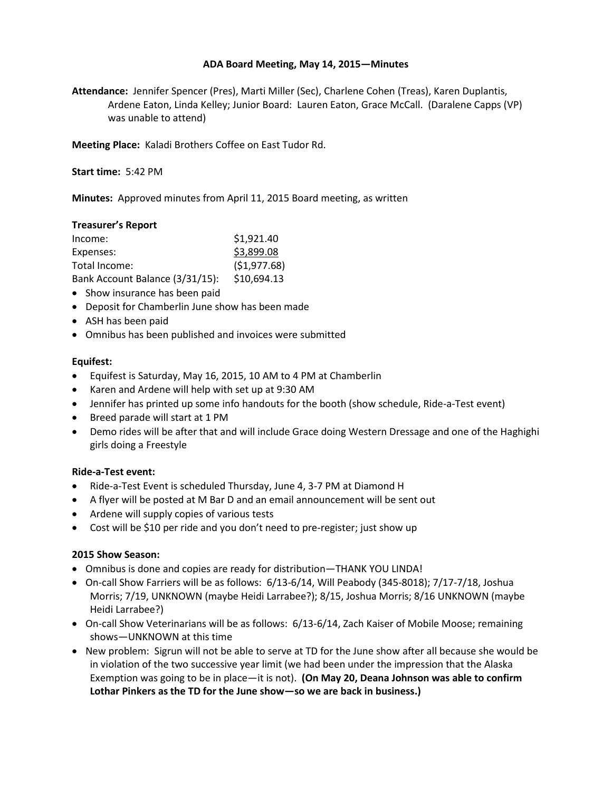# **ADA Board Meeting, May 14, 2015—Minutes**

**Attendance:** Jennifer Spencer (Pres), Marti Miller (Sec), Charlene Cohen (Treas), Karen Duplantis, Ardene Eaton, Linda Kelley; Junior Board: Lauren Eaton, Grace McCall. (Daralene Capps (VP) was unable to attend)

**Meeting Place:** Kaladi Brothers Coffee on East Tudor Rd.

**Start time:** 5:42 PM

**Minutes:** Approved minutes from April 11, 2015 Board meeting, as written

| <b>Treasurer's Report</b>       |              |
|---------------------------------|--------------|
| Income:                         | \$1,921.40   |
| Expenses:                       | \$3,899.08   |
| Total Income:                   | (51, 977.68) |
| Bank Account Balance (3/31/15): | \$10,694.13  |

- Show insurance has been paid
- Deposit for Chamberlin June show has been made
- ASH has been paid
- Omnibus has been published and invoices were submitted

# **Equifest:**

- Equifest is Saturday, May 16, 2015, 10 AM to 4 PM at Chamberlin
- Karen and Ardene will help with set up at 9:30 AM
- Jennifer has printed up some info handouts for the booth (show schedule, Ride-a-Test event)
- Breed parade will start at 1 PM
- Demo rides will be after that and will include Grace doing Western Dressage and one of the Haghighi girls doing a Freestyle

# **Ride-a-Test event:**

- Ride-a-Test Event is scheduled Thursday, June 4, 3-7 PM at Diamond H
- A flyer will be posted at M Bar D and an email announcement will be sent out
- Ardene will supply copies of various tests
- Cost will be \$10 per ride and you don't need to pre-register; just show up

# **2015 Show Season:**

- Omnibus is done and copies are ready for distribution—THANK YOU LINDA!
- $\bullet$  On-call Show Farriers will be as follows: 6/13-6/14, Will Peabody (345-8018); 7/17-7/18, Joshua Morris; 7/19, UNKNOWN (maybe Heidi Larrabee?); 8/15, Joshua Morris; 8/16 UNKNOWN (maybe Heidi Larrabee?)
- On-call Show Veterinarians will be as follows: 6/13-6/14, Zach Kaiser of Mobile Moose; remaining shows—UNKNOWN at this time
- New problem: Sigrun will not be able to serve at TD for the June show after all because she would be in violation of the two successive year limit (we had been under the impression that the Alaska Exemption was going to be in place—it is not). **(On May 20, Deana Johnson was able to confirm Lothar Pinkers as the TD for the June show—so we are back in business.)**